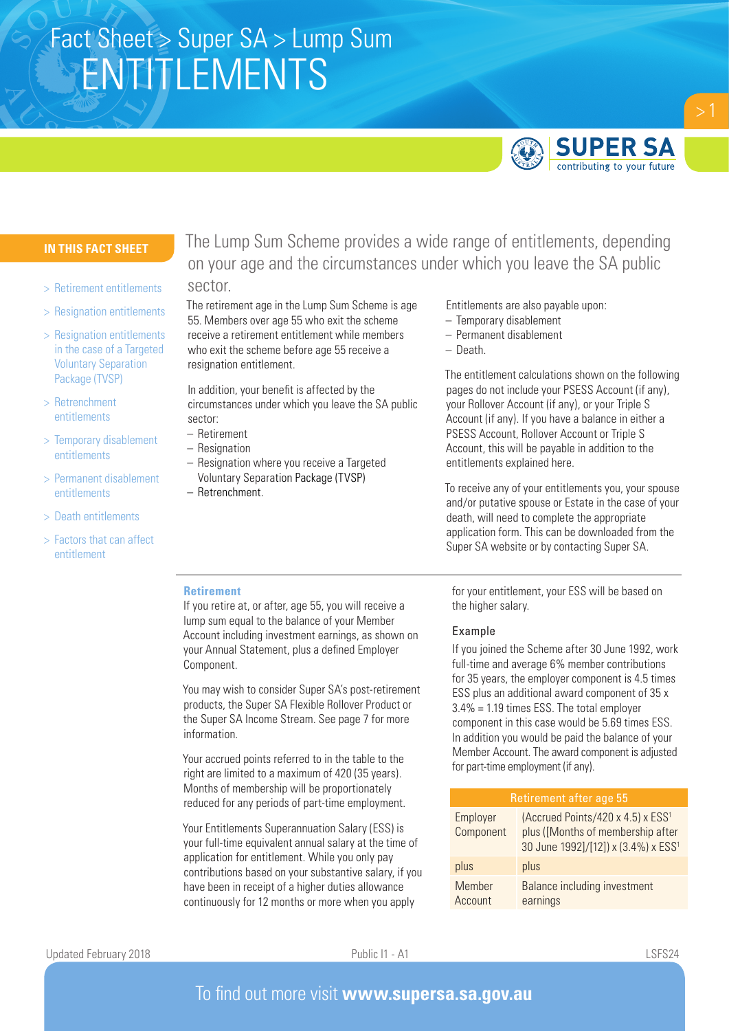

# **IN THIS FACT SHEET**

- > Retirement entitlements
- > Resignation entitlements
- > Resignation entitlements in the case of a Targeted Voluntary Separation Package (TVSP)
- > Retrenchment entitlements
- > Temporary disablement entitlements
- > Permanent disablement entitlements
- > Death entitlements
- > Factors that can affect entitlement

The Lump Sum Scheme provides a wide range of entitlements, depending on your age and the circumstances under which you leave the SA public

### sector.

The retirement age in the Lump Sum Scheme is age 55. Members over age 55 who exit the scheme receive a retirement entitlement while members who exit the scheme before age 55 receive a resignation entitlement.

In addition, your benefit is affected by the circumstances under which you leave the SA public sector:

- Retirement
- Resignation
- Resignation where you receive a Targeted Voluntary Separation Package (TVSP)
- Retrenchment.

Entitlements are also payable upon:

- Temporary disablement
- Permanent disablement
- Death.

The entitlement calculations shown on the following pages do not include your PSESS Account (if any), your Rollover Account (if any), or your Triple S Account (if any). If you have a balance in either a PSESS Account, Rollover Account or Triple S Account, this will be payable in addition to the entitlements explained here.

To receive any of your entitlements you, your spouse and/or putative spouse or Estate in the case of your death, will need to complete the appropriate application form. This can be downloaded from the Super SA website or by contacting Super SA.

#### **Retirement**

If you retire at, or after, age 55, you will receive a lump sum equal to the balance of your Member Account including investment earnings, as shown on your Annual Statement, plus a defined Employer Component.

You may wish to consider Super SA's post-retirement products, the Super SA Flexible Rollover Product or the Super SA Income Stream. See page 7 for more information.

Your accrued points referred to in the table to the right are limited to a maximum of 420 (35 years). Months of membership will be proportionately reduced for any periods of part-time employment.

Your Entitlements Superannuation Salary (ESS) is your full-time equivalent annual salary at the time of application for entitlement. While you only pay contributions based on your substantive salary, if you have been in receipt of a higher duties allowance continuously for 12 months or more when you apply

for your entitlement, your ESS will be based on the higher salary.

#### Example

If you joined the Scheme after 30 June 1992, work full-time and average 6% member contributions for 35 years, the employer component is 4.5 times ESS plus an additional award component of 35 x 3.4% = 1.19 times ESS. The total employer component in this case would be 5.69 times ESS. In addition you would be paid the balance of your Member Account. The award component is adjusted for part-time employment (if any).

| Retirement after age 55 |                                                                                                                                       |  |
|-------------------------|---------------------------------------------------------------------------------------------------------------------------------------|--|
| Employer<br>Component   | (Accrued Points/420 x 4.5) x ESS <sup>1</sup><br>plus ([Months of membership after<br>30 June 1992]/[12]) x (3.4%) x ESS <sup>1</sup> |  |
| plus                    | plus                                                                                                                                  |  |
| Member<br>Account       | <b>Balance including investment</b><br>earnings                                                                                       |  |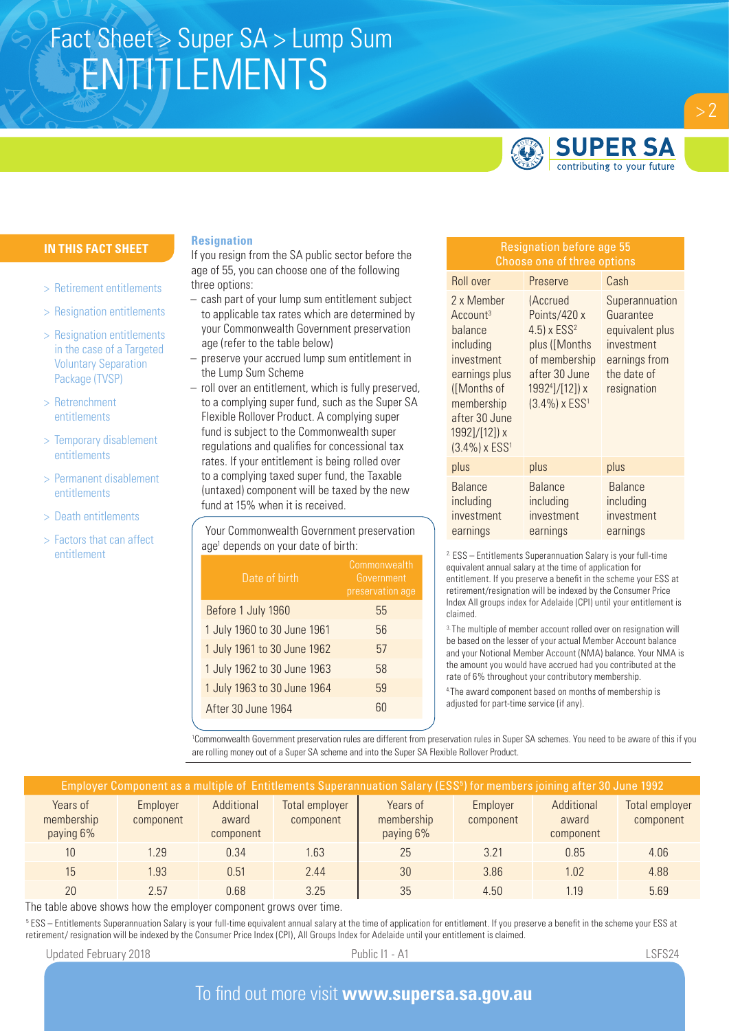

# **SUPER SA** contributing to your future

# **IN THIS FACT SHEET**

- > Retirement entitlements
- > Resignation entitlements
- > Resignation entitlements in the case of a Targeted Voluntary Separation Package (TVSP)
- > Retrenchment entitlements
- > Temporary disablement entitlements
- > Permanent disablement entitlements
- > Death entitlements
- > Factors that can affect entitlement

#### **Resignation**

If you resign from the SA public sector before the age of 55, you can choose one of the following three options:

- cash part of your lump sum entitlement subject to applicable tax rates which are determined by your Commonwealth Government preservation age (refer to the table below)
- preserve your accrued lump sum entitlement in the Lump Sum Scheme
- roll over an entitlement, which is fully preserved, to a complying super fund, such as the Super SA Flexible Rollover Product. A complying super fund is subject to the Commonwealth super regulations and qualifies for concessional tax rates. If your entitlement is being rolled over to a complying taxed super fund, the Taxable (untaxed) component will be taxed by the new fund at 15% when it is received.

Your Commonwealth Government preservation age<sup>1</sup> depends on your date of birth:

| Date of birth               | Commonwealth<br>Government<br>preservation age |
|-----------------------------|------------------------------------------------|
| Before 1 July 1960          | 55                                             |
| 1 July 1960 to 30 June 1961 | 56                                             |
| 1 July 1961 to 30 June 1962 | 57                                             |
| 1 July 1962 to 30 June 1963 | 58                                             |
| 1 July 1963 to 30 June 1964 | 59                                             |
| After 30 June 1964          |                                                |

| <b>Resignation before age 55</b><br>Choose one of three options                                                                                                                  |                                                                                                                                                      |                                                                                                             |
|----------------------------------------------------------------------------------------------------------------------------------------------------------------------------------|------------------------------------------------------------------------------------------------------------------------------------------------------|-------------------------------------------------------------------------------------------------------------|
| Roll over                                                                                                                                                                        | Preserve                                                                                                                                             | Cash                                                                                                        |
| 2 x Member<br>Account <sup>3</sup><br>balance<br>including<br>investment<br>earnings plus<br>(Months of<br>membership<br>after 30 June<br>1992]/[12]) x<br>$(3.4\%) \times ESS1$ | (Accrued<br>Points/420 x<br>$4.5$ ) x $ESS2$<br>plus ([Months<br>of membership<br>after 30 June<br>1992 <sup>4</sup> ]/[12]) x<br>$(3.4\%)$ x $ESS1$ | Superannuation<br>Guarantee<br>equivalent plus<br>investment<br>earnings from<br>the date of<br>resignation |
| plus                                                                                                                                                                             | plus                                                                                                                                                 | plus                                                                                                        |
| <b>Balance</b><br>including<br>investment<br>earnings                                                                                                                            | <b>Balance</b><br>including<br>investment<br>earnings                                                                                                | <b>Balance</b><br>including<br>investment<br>earnings                                                       |

2. ESS – Entitlements Superannuation Salary is your full-time equivalent annual salary at the time of application for entitlement. If you preserve a benefit in the scheme your ESS at retirement/resignation will be indexed by the Consumer Price Index All groups index for Adelaide (CPI) until your entitlement is claimed.

<sup>3.</sup> The multiple of member account rolled over on resignation will be based on the lesser of your actual Member Account balance and your Notional Member Account (NMA) balance. Your NMA is the amount you would have accrued had you contributed at the rate of 6% throughout your contributory membership.

4.The award component based on months of membership is adjusted for part-time service (if any).

1 Commonwealth Government preservation rules are different from preservation rules in Super SA schemes. You need to be aware of this if you are rolling money out of a Super SA scheme and into the Super SA Flexible Rollover Product.

| Employer Component as a multiple of Entitlements Superannuation Salary (ESS <sup>5</sup> ) for members joining after 30 June 1992 |                       |                                  |                                    |                                     |                       |                                  |                             |
|-----------------------------------------------------------------------------------------------------------------------------------|-----------------------|----------------------------------|------------------------------------|-------------------------------------|-----------------------|----------------------------------|-----------------------------|
| Years of<br>membership<br>paying 6%                                                                                               | Employer<br>component | Additional<br>award<br>component | <b>Total employer</b><br>component | Years of<br>membership<br>paying 6% | Employer<br>component | Additional<br>award<br>component | Total employer<br>component |
| 10                                                                                                                                | 1.29                  | 0.34                             | 1.63                               | 25                                  | 3.21                  | 0.85                             | 4.06                        |
| 15                                                                                                                                | 1.93                  | 0.51                             | 2.44                               | 30                                  | 3.86                  | 1.02                             | 4.88                        |
| 20                                                                                                                                | 2.57                  | 0.68                             | 3.25                               | 35                                  | 4.50                  | 1.19                             | 5.69                        |

The table above shows how the employer component grows over time.

5 ESS – Entitlements Superannuation Salary is your full-time equivalent annual salary at the time of application for entitlement. If you preserve a benefit in the scheme your ESS at retirement/ resignation will be indexed by the Consumer Price Index (CPI), All Groups Index for Adelaide until your entitlement is claimed.

Updated February 2018 **Public I1 - A1** Public I1 - A1 **Public I1 - A1** LSFS24

# $> 2$

# To find out more visit **www.supersa.sa.gov.au**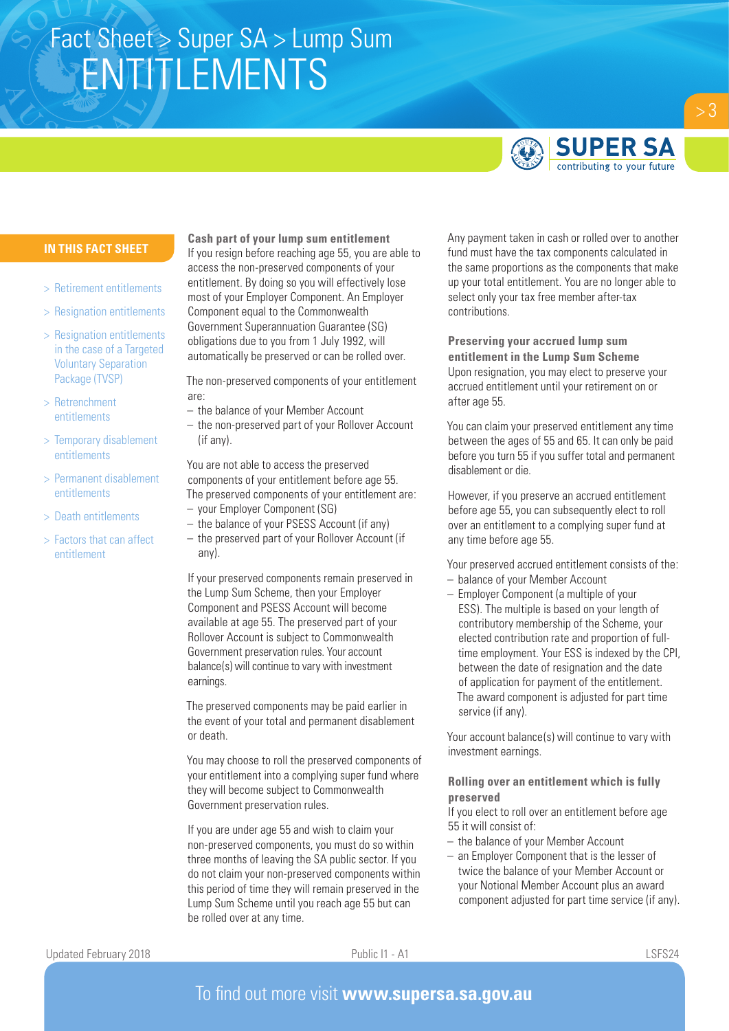

### **IN THIS FACT SHEET**

- > Retirement entitlements
- > Resignation entitlements
- > Resignation entitlements in the case of a Targeted Voluntary Separation Package (TVSP)
- > Retrenchment entitlements
- > Temporary disablement entitlements
- > Permanent disablement entitlements
- > Death entitlements
- > Factors that can affect entitlement

**Cash part of your lump sum entitlement** If you resign before reaching age 55, you are able to access the non-preserved components of your entitlement. By doing so you will effectively lose most of your Employer Component. An Employer Component equal to the Commonwealth Government Superannuation Guarantee (SG) obligations due to you from 1 July 1992, will automatically be preserved or can be rolled over.

The non-preserved components of your entitlement are:

- the balance of your Member Account
- the non-preserved part of your Rollover Account (if any).

You are not able to access the preserved components of your entitlement before age 55. The preserved components of your entitlement are: – your Employer Component (SG)

- the balance of your PSESS Account (if any)
- the preserved part of your Rollover Account (if any).

If your preserved components remain preserved in the Lump Sum Scheme, then your Employer Component and PSESS Account will become available at age 55. The preserved part of your Rollover Account is subject to Commonwealth Government preservation rules. Your account balance(s) will continue to vary with investment earnings.

The preserved components may be paid earlier in the event of your total and permanent disablement or death.

You may choose to roll the preserved components of your entitlement into a complying super fund where they will become subject to Commonwealth Government preservation rules.

If you are under age 55 and wish to claim your non-preserved components, you must do so within three months of leaving the SA public sector. If you do not claim your non-preserved components within this period of time they will remain preserved in the Lump Sum Scheme until you reach age 55 but can be rolled over at any time.

Any payment taken in cash or rolled over to another fund must have the tax components calculated in the same proportions as the components that make up your total entitlement. You are no longer able to select only your tax free member after-tax contributions.

#### **Preserving your accrued lump sum**

**entitlement in the Lump Sum Scheme** Upon resignation, you may elect to preserve your accrued entitlement until your retirement on or after age 55.

You can claim your preserved entitlement any time between the ages of 55 and 65. It can only be paid before you turn 55 if you suffer total and permanent disablement or die.

However, if you preserve an accrued entitlement before age 55, you can subsequently elect to roll over an entitlement to a complying super fund at any time before age 55.

Your preserved accrued entitlement consists of the:

- balance of your Member Account
- Employer Component (a multiple of your ESS). The multiple is based on your length of contributory membership of the Scheme, your elected contribution rate and proportion of fulltime employment. Your ESS is indexed by the CPI, between the date of resignation and the date of application for payment of the entitlement. The award component is adjusted for part time service (if any).

Your account balance(s) will continue to vary with investment earnings.

**Rolling over an entitlement which is fully preserved**

If you elect to roll over an entitlement before age 55 it will consist of:

- the balance of your Member Account
- an Employer Component that is the lesser of twice the balance of your Member Account or your Notional Member Account plus an award component adjusted for part time service (if any).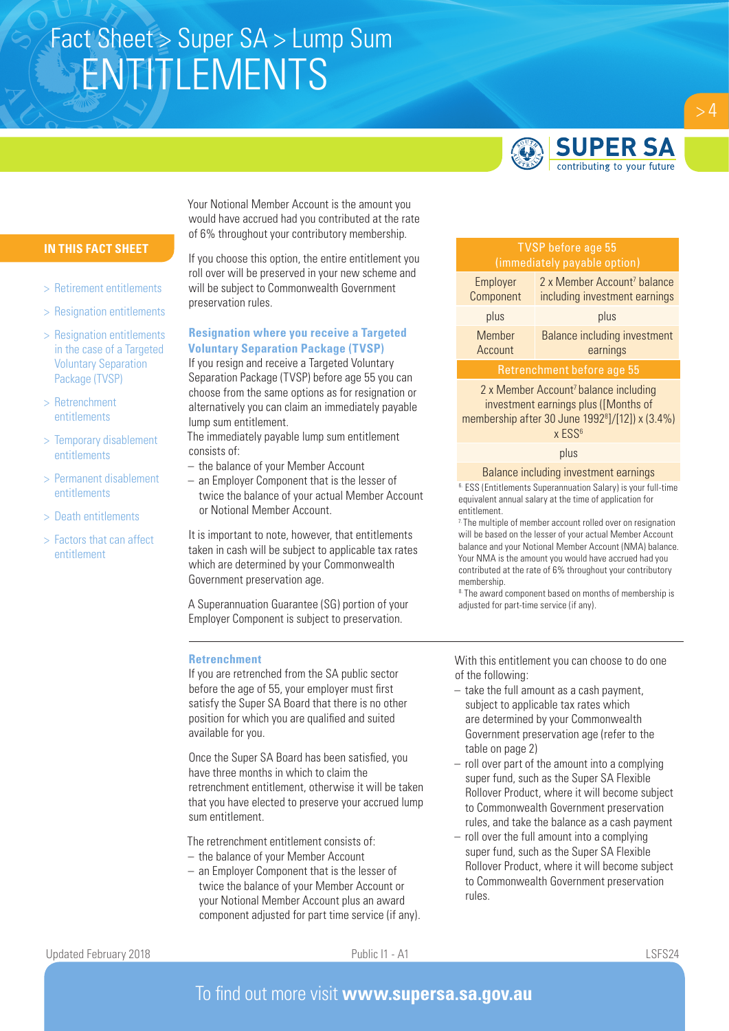

### **IN THIS FACT SHEET**

- > Retirement entitlements
- > Resignation entitlements
- > Resignation entitlements in the case of a Targeted Voluntary Separation Package (TVSP)
- > Retrenchment entitlements
- > Temporary disablement entitlements
- > Permanent disablement entitlements
- > Death entitlements
- > Factors that can affect entitlement

Your Notional Member Account is the amount you would have accrued had you contributed at the rate of 6% throughout your contributory membership.

If you choose this option, the entire entitlement you roll over will be preserved in your new scheme and will be subject to Commonwealth Government preservation rules.

#### **Resignation where you receive a Targeted Voluntary Separation Package (TVSP)**

If you resign and receive a Targeted Voluntary Separation Package (TVSP) before age 55 you can choose from the same options as for resignation or alternatively you can claim an immediately payable lump sum entitlement.

The immediately payable lump sum entitlement consists of:

- the balance of your Member Account
- an Employer Component that is the lesser of twice the balance of your actual Member Account or Notional Member Account.

It is important to note, however, that entitlements taken in cash will be subject to applicable tax rates which are determined by your Commonwealth Government preservation age.

A Superannuation Guarantee (SG) portion of your Employer Component is subject to preservation.

#### **Retrenchment**

If you are retrenched from the SA public sector before the age of 55, your employer must first satisfy the Super SA Board that there is no other position for which you are qualified and suited available for you.

Once the Super SA Board has been satisfied, you have three months in which to claim the retrenchment entitlement, otherwise it will be taken that you have elected to preserve your accrued lump sum entitlement.

The retrenchment entitlement consists of: – the balance of your Member Account

– an Employer Component that is the lesser of twice the balance of your Member Account or your Notional Member Account plus an award component adjusted for part time service (if any).

### TVSP before age 55 (immediately payable option)

| Employer      | 2 x Member Account <sup>7</sup> balance |
|---------------|-----------------------------------------|
| Component     | including investment earnings           |
| plus          | plus                                    |
| <b>Member</b> | <b>Balance including investment</b>     |
| Account       | earnings                                |

#### Retrenchment before age 55

2 x Member Account<sup>7</sup> balance including investment earnings plus ([Months of membership after 30 June 19928 ]/[12]) x (3.4%) x ESS<sup>6</sup>

#### plus

#### Balance including investment earnings

6. ESS (Entitlements Superannuation Salary) is your full-time equivalent annual salary at the time of application for entitlement.

<sup>7.</sup> The multiple of member account rolled over on resignation will be based on the lesser of your actual Member Account balance and your Notional Member Account (NMA) balance. Your NMA is the amount you would have accrued had you contributed at the rate of 6% throughout your contributory membership.

8. The award component based on months of membership is adjusted for part-time service (if any).

With this entitlement you can choose to do one of the following:

- take the full amount as a cash payment, subject to applicable tax rates which are determined by your Commonwealth Government preservation age (refer to the table on page 2)
- roll over part of the amount into a complying super fund, such as the Super SA Flexible Rollover Product, where it will become subject to Commonwealth Government preservation rules, and take the balance as a cash payment
- roll over the full amount into a complying super fund, such as the Super SA Flexible Rollover Product, where it will become subject to Commonwealth Government preservation rules.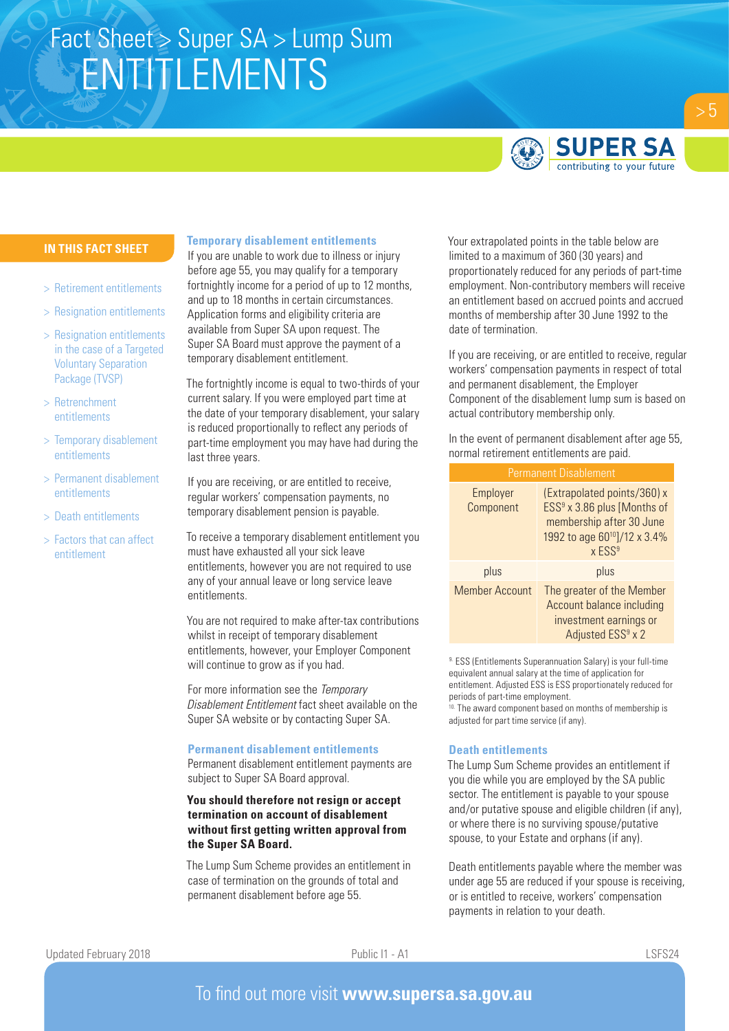

# **SUPER SA** contributing to your future

## **IN THIS FACT SHEET**

- > Retirement entitlements
- > Resignation entitlements
- > Resignation entitlements in the case of a Targeted Voluntary Separation Package (TVSP)
- > Retrenchment entitlements
- > Temporary disablement entitlements
- > Permanent disablement entitlements
- > Death entitlements
- > Factors that can affect entitlement

#### **Temporary disablement entitlements**

If you are unable to work due to illness or injury before age 55, you may qualify for a temporary fortnightly income for a period of up to 12 months. and up to 18 months in certain circumstances. Application forms and eligibility criteria are available from Super SA upon request. The Super SA Board must approve the payment of a temporary disablement entitlement.

The fortnightly income is equal to two-thirds of your current salary. If you were employed part time at the date of your temporary disablement, your salary is reduced proportionally to reflect any periods of part-time employment you may have had during the last three years.

If you are receiving, or are entitled to receive, regular workers' compensation payments, no temporary disablement pension is payable.

To receive a temporary disablement entitlement you must have exhausted all your sick leave entitlements, however you are not required to use any of your annual leave or long service leave entitlements.

You are not required to make after-tax contributions whilst in receipt of temporary disablement entitlements, however, your Employer Component will continue to grow as if you had.

For more information see the *Temporary Disablement Entitlement* fact sheet available on the Super SA website or by contacting Super SA.

#### **Permanent disablement entitlements**

Permanent disablement entitlement payments are subject to Super SA Board approval.

#### **You should therefore not resign or accept termination on account of disablement without first getting written approval from the Super SA Board.**

The Lump Sum Scheme provides an entitlement in case of termination on the grounds of total and permanent disablement before age 55.

Your extrapolated points in the table below are limited to a maximum of 360 (30 years) and proportionately reduced for any periods of part-time employment. Non-contributory members will receive an entitlement based on accrued points and accrued months of membership after 30 June 1992 to the date of termination.

If you are receiving, or are entitled to receive, regular workers' compensation payments in respect of total and permanent disablement, the Employer Component of the disablement lump sum is based on actual contributory membership only.

In the event of permanent disablement after age 55, normal retirement entitlements are paid.

| <b>Permanent Disablement</b> |                                                                                                                                                                      |  |
|------------------------------|----------------------------------------------------------------------------------------------------------------------------------------------------------------------|--|
| Employer<br>Component        | (Extrapolated points/360) x<br>ESS <sup>9</sup> x 3.86 plus [Months of<br>membership after 30 June<br>1992 to age 60 <sup>10</sup> ]/12 x 3.4%<br>x ESS <sup>9</sup> |  |
| plus                         | plus                                                                                                                                                                 |  |
| Member Account               | The greater of the Member<br>Account balance including<br>investment earnings or<br>Adjusted ESS <sup>9</sup> x 2                                                    |  |

9. ESS (Entitlements Superannuation Salary) is your full-time equivalent annual salary at the time of application for entitlement. Adjusted ESS is ESS proportionately reduced for periods of part-time employment.

The award component based on months of membership is adjusted for part time service (if any).

#### **Death entitlements**

The Lump Sum Scheme provides an entitlement if you die while you are employed by the SA public sector. The entitlement is payable to your spouse and/or putative spouse and eligible children (if any), or where there is no surviving spouse/putative spouse, to your Estate and orphans (if any).

Death entitlements payable where the member was under age 55 are reduced if your spouse is receiving, or is entitled to receive, workers' compensation payments in relation to your death.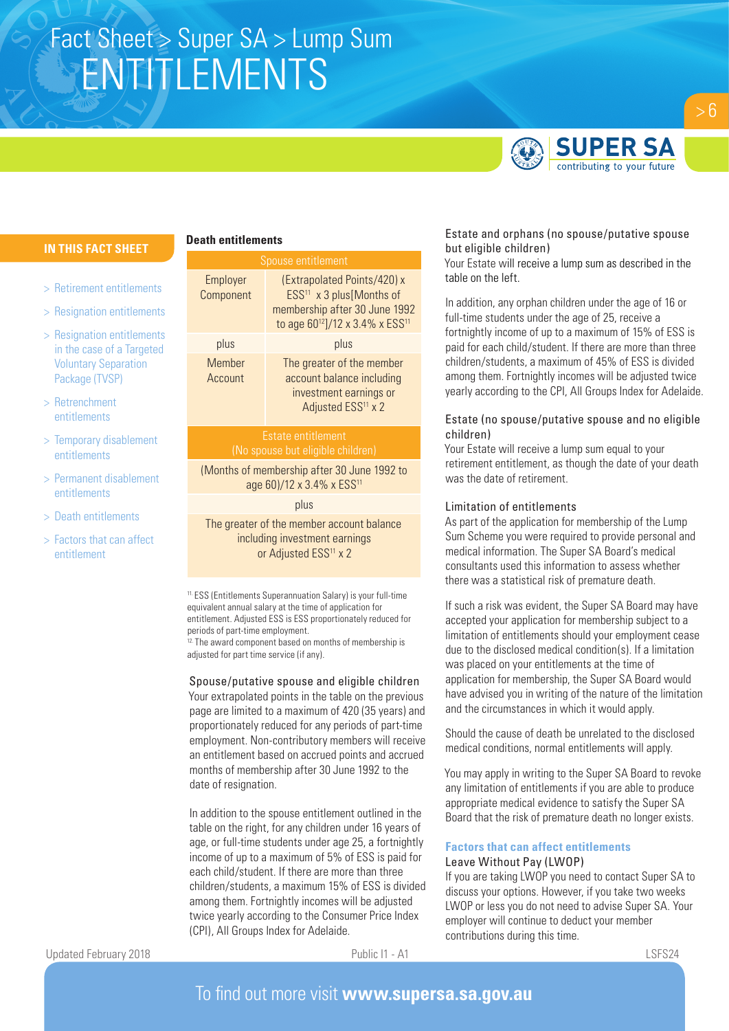

#### **IN THIS FACT SHEET**

- > Retirement entitlements
- > Resignation entitlements

> Resignation entitlements in the case of a Targeted Voluntary Separation Package (TVSP)

- > Retrenchment entitlements
- > Temporary disablement entitlements
- > Permanent disablement entitlements
- > Death entitlements

> Factors that can affect entitlement

### **Death entitlements**

| Spouse entitlement                                      |                                                                                                                                                                 |  |
|---------------------------------------------------------|-----------------------------------------------------------------------------------------------------------------------------------------------------------------|--|
| Employer<br>Component                                   | (Extrapolated Points/420) x<br>ESS <sup>11</sup> x 3 plus[Months of<br>membership after 30 June 1992<br>to age 60 <sup>12</sup> ]/12 x 3.4% x ESS <sup>11</sup> |  |
| plus                                                    | plus                                                                                                                                                            |  |
| Member<br>Account                                       | The greater of the member<br>account balance including<br>investment earnings or<br>Adjusted ESS <sup>11</sup> x 2                                              |  |
| Estate entitlement<br>(No spouse but eligible children) |                                                                                                                                                                 |  |

(Months of membership after 30 June 1992 to age 60)/12 x 3.4% x ESS<sup>11</sup>

plus

The greater of the member account balance including investment earnings or Adjusted ESS<sup>11</sup> x 2

11. ESS (Entitlements Superannuation Salary) is your full-time equivalent annual salary at the time of application for entitlement. Adjusted ESS is ESS proportionately reduced for periods of part-time employment. <sup>12.</sup> The award component based on months of membership is

adjusted for part time service (if any).

# Spouse/putative spouse and eligible children

Your extrapolated points in the table on the previous page are limited to a maximum of 420 (35 years) and proportionately reduced for any periods of part-time employment. Non-contributory members will receive an entitlement based on accrued points and accrued months of membership after 30 June 1992 to the date of resignation.

In addition to the spouse entitlement outlined in the table on the right, for any children under 16 years of age, or full-time students under age 25, a fortnightly income of up to a maximum of 5% of ESS is paid for each child/student. If there are more than three children/students, a maximum 15% of ESS is divided among them. Fortnightly incomes will be adjusted twice yearly according to the Consumer Price Index (CPI), All Groups Index for Adelaide.

Estate and orphans (no spouse/putative spouse but eligible children)

Your Estate will receive a lump sum as described in the table on the left.

In addition, any orphan children under the age of 16 or full-time students under the age of 25, receive a fortnightly income of up to a maximum of 15% of ESS is paid for each child/student. If there are more than three children/students, a maximum of 45% of ESS is divided among them. Fortnightly incomes will be adjusted twice yearly according to the CPI, All Groups Index for Adelaide.

### Estate (no spouse/putative spouse and no eligible children)

Your Estate will receive a lump sum equal to your retirement entitlement, as though the date of your death was the date of retirement.

### Limitation of entitlements

As part of the application for membership of the Lump Sum Scheme you were required to provide personal and medical information. The Super SA Board's medical consultants used this information to assess whether there was a statistical risk of premature death.

If such a risk was evident, the Super SA Board may have accepted your application for membership subject to a limitation of entitlements should your employment cease due to the disclosed medical condition(s). If a limitation was placed on your entitlements at the time of application for membership, the Super SA Board would have advised you in writing of the nature of the limitation and the circumstances in which it would apply.

Should the cause of death be unrelated to the disclosed medical conditions, normal entitlements will apply.

You may apply in writing to the Super SA Board to revoke any limitation of entitlements if you are able to produce appropriate medical evidence to satisfy the Super SA Board that the risk of premature death no longer exists.

### **Factors that can affect entitlements** Leave Without Pay (LWOP)

If you are taking LWOP you need to contact Super SA to discuss your options. However, if you take two weeks LWOP or less you do not need to advise Super SA. Your employer will continue to deduct your member contributions during this time.

# Updated February 2018 **Public I1 - A1** Public I1 - A1 LSFS24